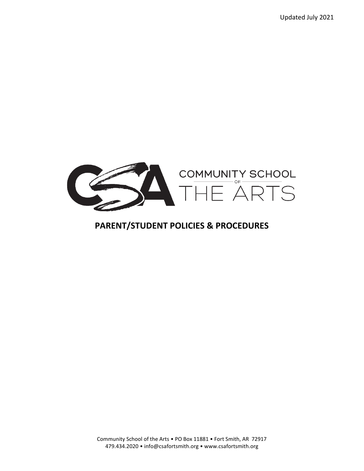Updated July 2021



## **PARENT/STUDENT POLICIES & PROCEDURES**

Community School of the Arts • PO Box 11881 • Fort Smith, AR 72917 479.434.2020 • info@csafortsmith.org • www.csafortsmith.org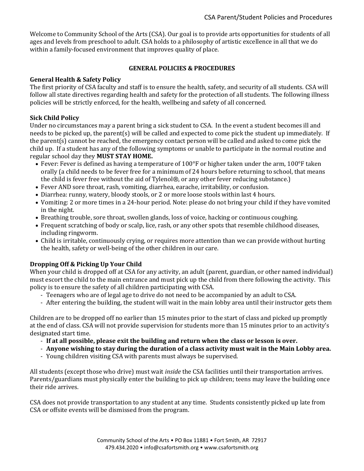Welcome to Community School of the Arts (CSA). Our goal is to provide arts opportunities for students of all ages and levels from preschool to adult. CSA holds to a philosophy of artistic excellence in all that we do within a family-focused environment that improves quality of place.

## **GENERAL POLICIES & PROCEDURES**

## **General Health & Safety Policy**

The first priority of CSA faculty and staff is to ensure the health, safety, and security of all students. CSA will follow all state directives regarding health and safety for the protection of all students. The following illness policies will be strictly enforced, for the health, wellbeing and safety of all concerned.

## **Sick Child Policy**

Under no circumstances may a parent bring a sick student to CSA. In the event a student becomes ill and needs to be picked up, the parent(s) will be called and expected to come pick the student up immediately. If the parent(s) cannot be reached, the emergency contact person will be called and asked to come pick the child up. If a student has any of the following symptoms or unable to participate in the normal routine and regular school day they **MUST STAY HOME.**

- Fever: Fever is defined as having a temperature of 100°F or higher taken under the arm, 100°F taken orally (a child needs to be fever free for a minimum of 24 hours before returning to school, that means the child is fever free without the aid of Tylenol®, or any other fever reducing substance.)
- Fever AND sore throat, rash, vomiting, diarrhea, earache, irritability, or confusion.
- Diarrhea: runny, watery, bloody stools, or 2 or more loose stools within last 4 hours.
- Vomiting: 2 or more times in a 24-hour period. Note: please do not bring your child if they have vomited in the night.
- Breathing trouble, sore throat, swollen glands, loss of voice, hacking or continuous coughing.
- Frequent scratching of body or scalp, lice, rash, or any other spots that resemble childhood diseases, including ringworm.
- Child is irritable, continuously crying, or requires more attention than we can provide without hurting the health, safety or well-being of the other children in our care.

## **Dropping Off & Picking Up Your Child**

When your child is dropped off at CSA for any activity, an adult (parent, guardian, or other named individual) must escort the child to the main entrance and must pick up the child from there following the activity. This policy is to ensure the safety of all children participating with CSA.

- Teenagers who are of legal age to drive do not need to be accompanied by an adult to CSA.
- After entering the building, the student will wait in the main lobby area until their instructor gets them

Children are to be dropped off no earlier than 15 minutes prior to the start of class and picked up promptly at the end of class. CSA will not provide supervision for students more than 15 minutes prior to an activity's designated start time.

- **If at all possible, please exit the building and return when the class or lesson is over.**
- **Anyone wishing to stay during the duration of a class activity must wait in the Main Lobby area.**
- Young children visiting CSA with parents must always be supervised.

All students (except those who drive) must wait *inside* the CSA facilities until their transportation arrives. Parents/guardians must physically enter the building to pick up children; teens may leave the building once their ride arrives.

CSA does not provide transportation to any student at any time. Students consistently picked up late from CSA or offsite events will be dismissed from the program.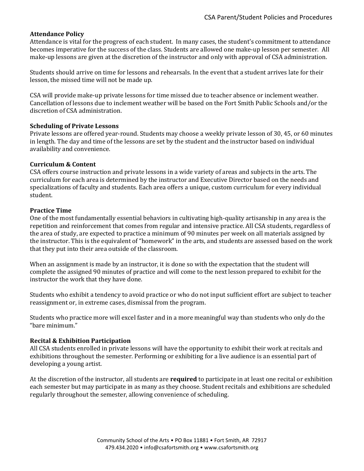## **Attendance Policy**

Attendance is vital for the progress of each student. In many cases, the student's commitment to attendance becomes imperative for the success of the class. Students are allowed one make-up lesson per semester. All make-up lessons are given at the discretion of the instructor and only with approval of CSA administration.

Students should arrive on time for lessons and rehearsals. In the event that a student arrives late for their lesson, the missed time will not be made up.

CSA will provide make-up private lessons for time missed due to teacher absence or inclement weather. Cancellation of lessons due to inclement weather will be based on the Fort Smith Public Schools and/or the discretion of CSA administration.

#### **Scheduling of Private Lessons**

Private lessons are offered year-round. Students may choose a weekly private lesson of 30, 45, or 60 minutes in length. The day and time of the lessons are set by the student and the instructor based on individual availability and convenience.

#### **Curriculum & Content**

CSA offers course instruction and private lessons in a wide variety of areas and subjects in the arts. The curriculum for each area is determined by the instructor and Executive Director based on the needs and specializations of faculty and students. Each area offers a unique, custom curriculum for every individual student.

#### **Practice Time**

One of the most fundamentally essential behaviors in cultivating high-quality artisanship in any area is the repetition and reinforcement that comes from regular and intensive practice. All CSA students, regardless of the area of study, are expected to practice a minimum of 90 minutes per week on all materials assigned by the instructor. This is the equivalent of "homework" in the arts, and students are assessed based on the work that they put into their area outside of the classroom.

When an assignment is made by an instructor, it is done so with the expectation that the student will complete the assigned 90 minutes of practice and will come to the next lesson prepared to exhibit for the instructor the work that they have done.

Students who exhibit a tendency to avoid practice or who do not input sufficient effort are subject to teacher reassignment or, in extreme cases, dismissal from the program.

Students who practice more will excel faster and in a more meaningful way than students who only do the "bare minimum."

#### **Recital & Exhibition Participation**

All CSA students enrolled in private lessons will have the opportunity to exhibit their work at recitals and exhibitions throughout the semester. Performing or exhibiting for a live audience is an essential part of developing a young artist.

At the discretion of the instructor, all students are **required** to participate in at least one recital or exhibition each semester but may participate in as many as they choose. Student recitals and exhibitions are scheduled regularly throughout the semester, allowing convenience of scheduling.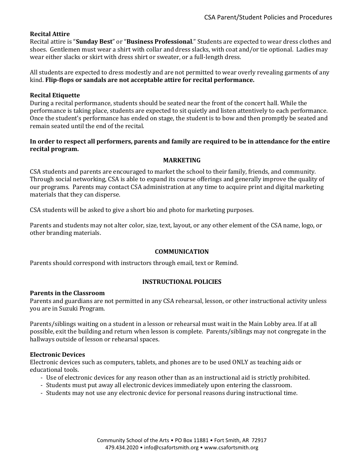## **Recital Attire**

Recital attire is "**Sunday Best**" or "**Business Professional**." Students are expected to wear dress clothes and shoes. Gentlemen must wear a shirt with collar and dress slacks, with coat and/or tie optional. Ladies may wear either slacks or skirt with dress shirt or sweater, or a full-length dress.

All students are expected to dress modestly and are not permitted to wear overly revealing garments of any kind. **Flip-flops or sandals are not acceptable attire for recital performance.**

#### **Recital Etiquette**

During a recital performance, students should be seated near the front of the concert hall. While the performance is taking place, students are expected to sit quietly and listen attentively to each performance. Once the student's performance has ended on stage, the student is to bow and then promptly be seated and remain seated until the end of the recital.

## **In order to respect all performers, parents and family are required to be in attendance for the entire recital program.**

#### **MARKETING**

CSA students and parents are encouraged to market the school to their family, friends, and community. Through social networking, CSA is able to expand its course offerings and generally improve the quality of our programs. Parents may contact CSA administration at any time to acquire print and digital marketing materials that they can disperse.

CSA students will be asked to give a short bio and photo for marketing purposes.

Parents and students may not alter color, size, text, layout, or any other element of the CSA name, logo, or other branding materials.

#### **COMMUNICATION**

Parents should correspond with instructors through email, text or Remind.

#### **INSTRUCTIONAL POLICIES**

#### **Parents in the Classroom**

Parents and guardians are not permitted in any CSA rehearsal, lesson, or other instructional activity unless you are in Suzuki Program.

Parents/siblings waiting on a student in a lesson or rehearsal must wait in the Main Lobby area. If at all possible, exit the building and return when lesson is complete. Parents/siblings may not congregate in the hallways outside of lesson or rehearsal spaces.

#### **Electronic Devices**

Electronic devices such as computers, tablets, and phones are to be used ONLY as teaching aids or educational tools.

- Use of electronic devices for any reason other than as an instructional aid is strictly prohibited.
- Students must put away all electronic devices immediately upon entering the classroom.
- Students may not use any electronic device for personal reasons during instructional time.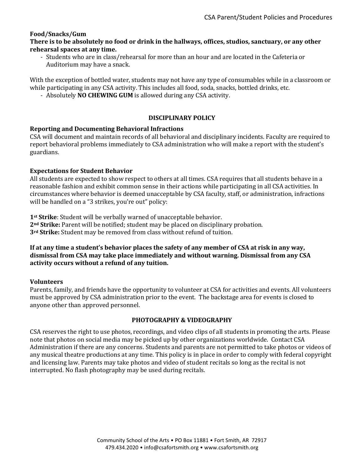## **Food/Snacks/Gum**

**There is to be absolutely no food or drink in the hallways, offices, studios, sanctuary, or any other rehearsal spaces at any time.** 

- Students who are in class/rehearsal for more than an hour and are located in the Cafeteria or Auditorium may have a snack.

With the exception of bottled water, students may not have any type of consumables while in a classroom or while participating in any CSA activity. This includes all food, soda, snacks, bottled drinks, etc.

- Absolutely **NO CHEWING GUM** is allowed during any CSA activity.

## **DISCIPLINARY POLICY**

## **Reporting and Documenting Behavioral Infractions**

CSA will document and maintain records of all behavioral and disciplinary incidents. Faculty are required to report behavioral problems immediately to CSA administration who will make a report with the student's guardians.

## **Expectations for Student Behavior**

All students are expected to show respect to others at all times. CSA requires that all students behave in a reasonable fashion and exhibit common sense in their actions while participating in all CSA activities. In circumstances where behavior is deemed unacceptable by CSA faculty, staff, or administration, infractions will be handled on a "3 strikes, you're out" policy:

**1st Strike**: Student will be verbally warned of unacceptable behavior. **2nd Strike:** Parent will be notified; student may be placed on disciplinary probation. **3rd Strike:** Student may be removed from class without refund of tuition.

## **If at any time a student's behavior places the safety of any member of CSA at risk in any way, dismissal from CSA may take place immediately and without warning. Dismissal from any CSA activity occurs without a refund of any tuition.**

#### **Volunteers**

Parents, family, and friends have the opportunity to volunteer at CSA for activities and events. All volunteers must be approved by CSA administration prior to the event. The backstage area for events is closed to anyone other than approved personnel.

## **PHOTOGRAPHY & VIDEOGRAPHY**

CSA reserves the right to use photos, recordings, and video clips of all students in promoting the arts. Please note that photos on social media may be picked up by other organizations worldwide. Contact CSA Administration if there are any concerns. Students and parents are not permitted to take photos or videos of any musical theatre productions at any time. This policy is in place in order to comply with federal copyright and licensing law. Parents may take photos and video of student recitals so long as the recital is not interrupted. No flash photography may be used during recitals.